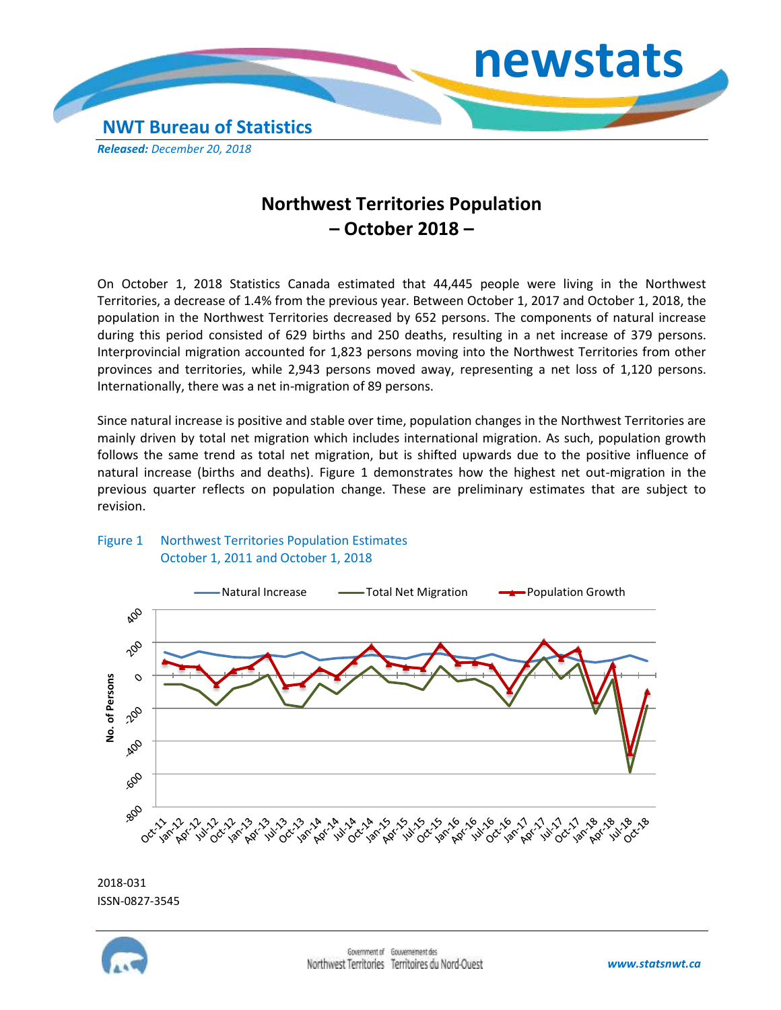

## **Northwest Territories Population – October 2018 –**

On October 1, 2018 Statistics Canada estimated that 44,445 people were living in the Northwest Territories, a decrease of 1.4% from the previous year. Between October 1, 2017 and October 1, 2018, the population in the Northwest Territories decreased by 652 persons. The components of natural increase during this period consisted of 629 births and 250 deaths, resulting in a net increase of 379 persons. Interprovincial migration accounted for 1,823 persons moving into the Northwest Territories from other provinces and territories, while 2,943 persons moved away, representing a net loss of 1,120 persons. Internationally, there was a net in-migration of 89 persons.

Since natural increase is positive and stable over time, population changes in the Northwest Territories are mainly driven by total net migration which includes international migration. As such, population growth follows the same trend as total net migration, but is shifted upwards due to the positive influence of natural increase (births and deaths). Figure 1 demonstrates how the highest net out-migration in the previous quarter reflects on population change. These are preliminary estimates that are subject to revision.





2018-031

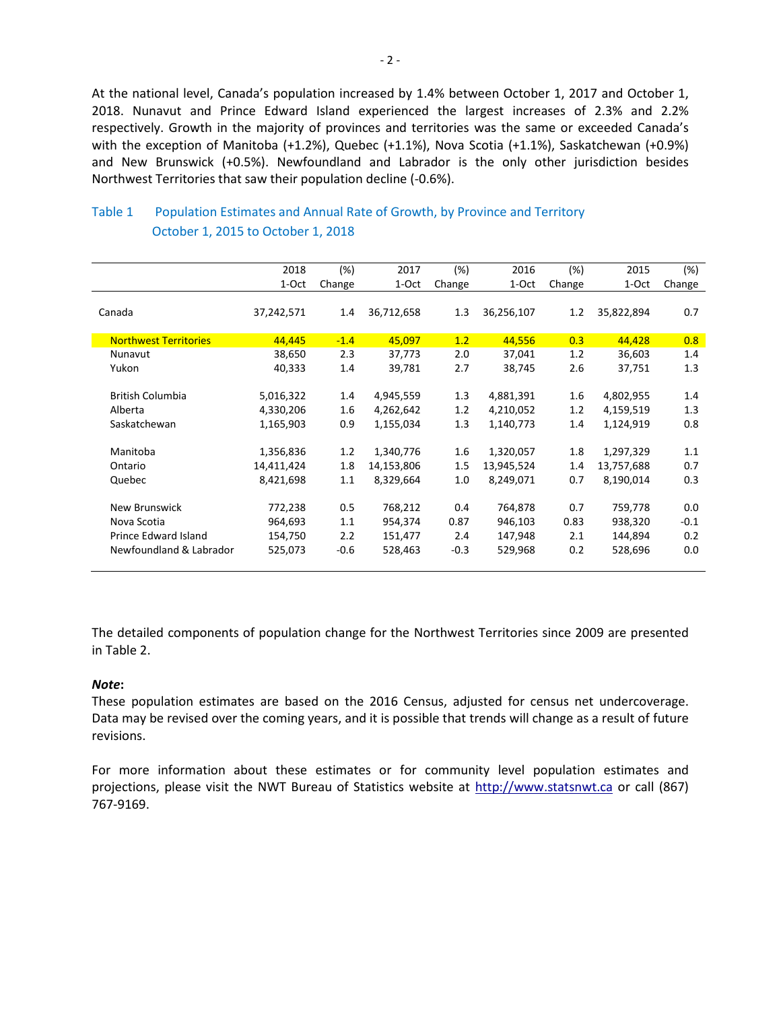At the national level, Canada's population increased by 1.4% between October 1, 2017 and October 1, 2018. Nunavut and Prince Edward Island experienced the largest increases of 2.3% and 2.2% respectively. Growth in the majority of provinces and territories was the same or exceeded Canada's with the exception of Manitoba (+1.2%), Quebec (+1.1%), Nova Scotia (+1.1%), Saskatchewan (+0.9%) and New Brunswick (+0.5%). Newfoundland and Labrador is the only other jurisdiction besides Northwest Territories that saw their population decline (-0.6%).

|                              | 2018       | (%)     | 2017       | (%)    | 2016       | $(\%)$ | 2015       | $(\%)$ |
|------------------------------|------------|---------|------------|--------|------------|--------|------------|--------|
|                              | 1-Oct      | Change  | 1-Oct      | Change | 1-Oct      | Change | 1-Oct      | Change |
|                              |            |         |            |        |            |        |            |        |
| Canada                       | 37,242,571 | 1.4     | 36,712,658 | 1.3    | 36,256,107 | 1.2    | 35,822,894 | 0.7    |
| <b>Northwest Territories</b> | 44,445     | $-1.4$  | 45,097     | 1.2    | 44,556     | 0.3    | 44,428     | 0.8    |
| Nunavut                      | 38,650     | 2.3     | 37,773     | 2.0    | 37,041     | 1.2    | 36,603     | 1.4    |
| Yukon                        | 40,333     | 1.4     | 39,781     | 2.7    | 38,745     | 2.6    | 37,751     | 1.3    |
| <b>British Columbia</b>      | 5,016,322  | $1.4\,$ | 4,945,559  | 1.3    | 4,881,391  | 1.6    | 4,802,955  | 1.4    |
| Alberta                      | 4,330,206  | 1.6     | 4,262,642  | 1.2    | 4,210,052  | 1.2    | 4,159,519  | 1.3    |
|                              |            |         |            |        |            |        |            |        |
| Saskatchewan                 | 1,165,903  | 0.9     | 1,155,034  | 1.3    | 1,140,773  | 1.4    | 1,124,919  | 0.8    |
| Manitoba                     | 1,356,836  | 1.2     | 1,340,776  | 1.6    | 1,320,057  | 1.8    | 1,297,329  | 1.1    |
| Ontario                      | 14,411,424 | 1.8     | 14,153,806 | 1.5    | 13,945,524 | 1.4    | 13,757,688 | 0.7    |
| Quebec                       | 8,421,698  | 1.1     | 8,329,664  | 1.0    | 8,249,071  | 0.7    | 8,190,014  | 0.3    |
| <b>New Brunswick</b>         | 772,238    | 0.5     | 768,212    | 0.4    | 764,878    | 0.7    | 759,778    | 0.0    |
| Nova Scotia                  | 964,693    | 1.1     | 954,374    | 0.87   | 946,103    | 0.83   | 938,320    | $-0.1$ |
| Prince Edward Island         | 154,750    | 2.2     | 151,477    | 2.4    | 147,948    | 2.1    | 144,894    | 0.2    |
| Newfoundland & Labrador      | 525,073    | $-0.6$  | 528,463    | $-0.3$ | 529,968    | 0.2    | 528,696    | 0.0    |
|                              |            |         |            |        |            |        |            |        |
|                              |            |         |            |        |            |        |            |        |

## Table 1 Population Estimates and Annual Rate of Growth, by Province and Territory October 1, 2015 to October 1, 2018

The detailed components of population change for the Northwest Territories since 2009 are presented in Table 2.

## *Note***:**

These population estimates are based on the 2016 Census, adjusted for census net undercoverage. Data may be revised over the coming years, and it is possible that trends will change as a result of future revisions.

For more information about these estimates or for community level population estimates and projections, please visit the NWT Bureau of Statistics website at http://www.statsnwt.ca or call (867) 767-9169.